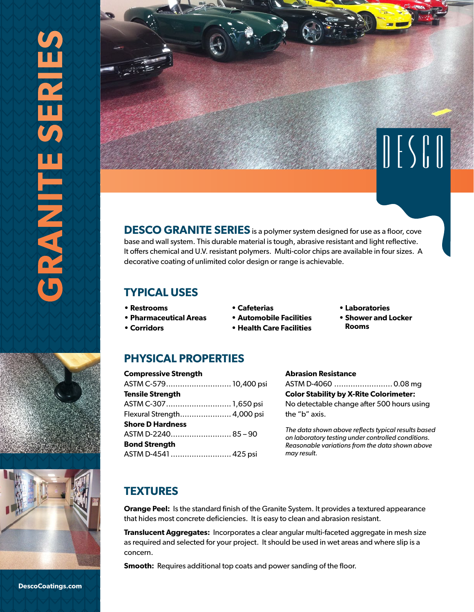



**DESCO GRANITE SERIES** is a polymer system designed for use as a floor, cove base and wall system. This durable material is tough, abrasive resistant and light reflective. It offers chemical and U.V. resistant polymers. Multi-color chips are available in four sizes. A decorative coating of unlimited color design or range is achievable.

## **TYPICAL USES**

- **Restrooms**
- **Pharmaceutical Areas**

**Compressive Strength**

**Tensile Strength**

**Shore D Hardness**

**Bond Strength**

ASTM C-579............................ 10,400 psi

ASTM C-307............................ 1,650 psi Flexural Strength...................... 4,000 psi

ASTM D-2240.......................... 85 – 90

ASTM D-4541 .......................... 425 psi

**• Corridors**

- **Automobile Facilities**
- **Health Care Facilities**

#### **Abrasion Resistance**

ASTM D-4060 ......................... 0.08 mg **Color Stability by X-Rite Colorimeter:**  No detectable change after 500 hours using the "b" axis.

**• Laboratories • Shower and Locker** 

 **Rooms**

*The data shown above reflects typical results based on laboratory testing under controlled conditions. Reasonable variations from the data shown above may result.*

# **TEXTURES**

**Orange Peel:** Is the standard finish of the Granite System. It provides a textured appearance that hides most concrete deficiencies. It is easy to clean and abrasion resistant.

**Translucent Aggregates:** Incorporates a clear angular multi-faceted aggregate in mesh size as required and selected for your project. It should be used in wet areas and where slip is a concern.

**Smooth:** Requires additional top coats and power sanding of the floor.



**• Cafeterias**